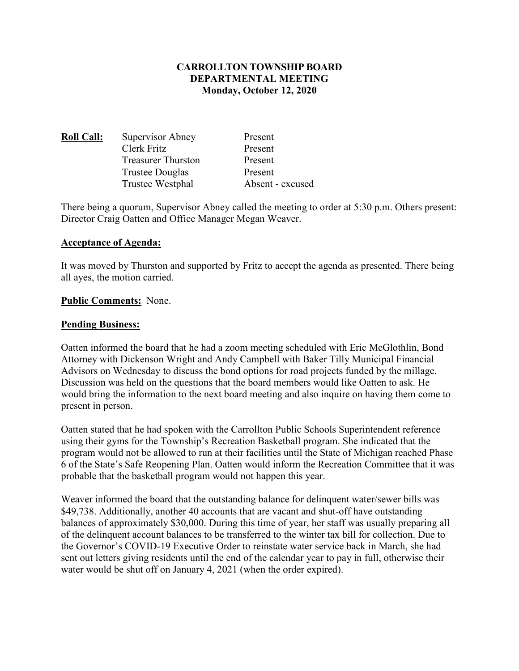#### **CARROLLTON TOWNSHIP BOARD DEPARTMENTAL MEETING Monday, October 12, 2020**

| <b>Roll Call:</b> | Supervisor Abney          | Present          |
|-------------------|---------------------------|------------------|
|                   | Clerk Fritz               | Present          |
|                   | <b>Treasurer Thurston</b> | Present          |
|                   | Trustee Douglas           | Present          |
|                   | Trustee Westphal          | Absent - excused |

There being a quorum, Supervisor Abney called the meeting to order at 5:30 p.m. Others present: Director Craig Oatten and Office Manager Megan Weaver.

#### **Acceptance of Agenda:**

It was moved by Thurston and supported by Fritz to accept the agenda as presented. There being all ayes, the motion carried.

#### **Public Comments:** None.

#### **Pending Business:**

Oatten informed the board that he had a zoom meeting scheduled with Eric McGlothlin, Bond Attorney with Dickenson Wright and Andy Campbell with Baker Tilly Municipal Financial Advisors on Wednesday to discuss the bond options for road projects funded by the millage. Discussion was held on the questions that the board members would like Oatten to ask. He would bring the information to the next board meeting and also inquire on having them come to present in person.

Oatten stated that he had spoken with the Carrollton Public Schools Superintendent reference using their gyms for the Township's Recreation Basketball program. She indicated that the program would not be allowed to run at their facilities until the State of Michigan reached Phase 6 of the State's Safe Reopening Plan. Oatten would inform the Recreation Committee that it was probable that the basketball program would not happen this year.

Weaver informed the board that the outstanding balance for delinquent water/sewer bills was \$49,738. Additionally, another 40 accounts that are vacant and shut-off have outstanding balances of approximately \$30,000. During this time of year, her staff was usually preparing all of the delinquent account balances to be transferred to the winter tax bill for collection. Due to the Governor's COVID-19 Executive Order to reinstate water service back in March, she had sent out letters giving residents until the end of the calendar year to pay in full, otherwise their water would be shut off on January 4, 2021 (when the order expired).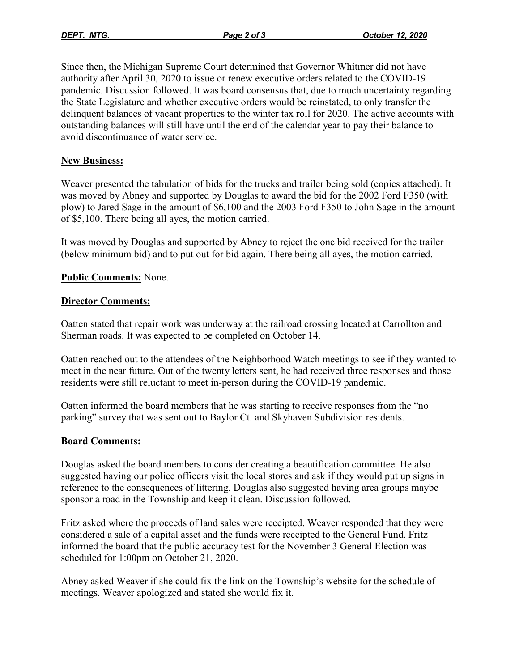Since then, the Michigan Supreme Court determined that Governor Whitmer did not have authority after April 30, 2020 to issue or renew executive orders related to the COVID-19 pandemic. Discussion followed. It was board consensus that, due to much uncertainty regarding the State Legislature and whether executive orders would be reinstated, to only transfer the delinquent balances of vacant properties to the winter tax roll for 2020. The active accounts with outstanding balances will still have until the end of the calendar year to pay their balance to avoid discontinuance of water service.

## **New Business:**

Weaver presented the tabulation of bids for the trucks and trailer being sold (copies attached). It was moved by Abney and supported by Douglas to award the bid for the 2002 Ford F350 (with plow) to Jared Sage in the amount of \$6,100 and the 2003 Ford F350 to John Sage in the amount of \$5,100. There being all ayes, the motion carried.

It was moved by Douglas and supported by Abney to reject the one bid received for the trailer (below minimum bid) and to put out for bid again. There being all ayes, the motion carried.

## **Public Comments:** None.

## **Director Comments:**

Oatten stated that repair work was underway at the railroad crossing located at Carrollton and Sherman roads. It was expected to be completed on October 14.

Oatten reached out to the attendees of the Neighborhood Watch meetings to see if they wanted to meet in the near future. Out of the twenty letters sent, he had received three responses and those residents were still reluctant to meet in-person during the COVID-19 pandemic.

Oatten informed the board members that he was starting to receive responses from the "no parking" survey that was sent out to Baylor Ct. and Skyhaven Subdivision residents.

## **Board Comments:**

Douglas asked the board members to consider creating a beautification committee. He also suggested having our police officers visit the local stores and ask if they would put up signs in reference to the consequences of littering. Douglas also suggested having area groups maybe sponsor a road in the Township and keep it clean. Discussion followed.

Fritz asked where the proceeds of land sales were receipted. Weaver responded that they were considered a sale of a capital asset and the funds were receipted to the General Fund. Fritz informed the board that the public accuracy test for the November 3 General Election was scheduled for 1:00pm on October 21, 2020.

Abney asked Weaver if she could fix the link on the Township's website for the schedule of meetings. Weaver apologized and stated she would fix it.